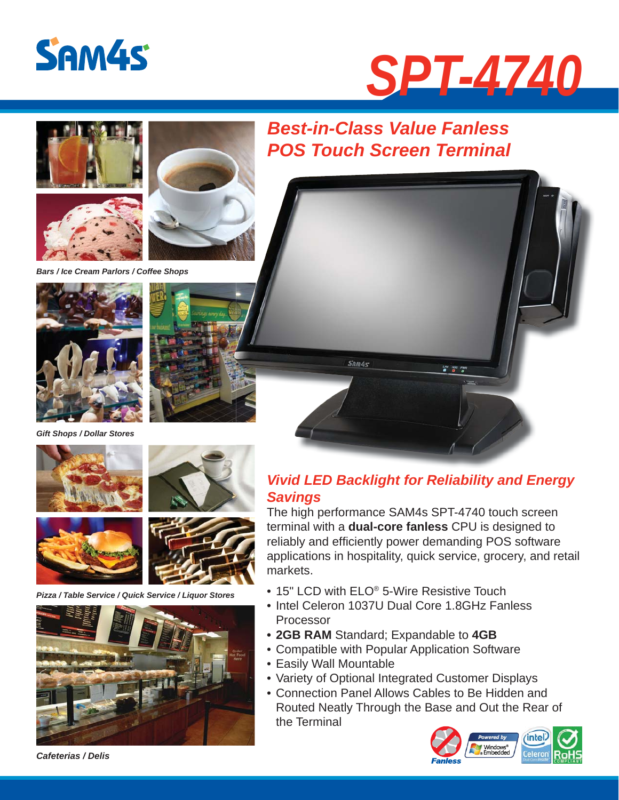







*Bars / Ice Cream Parlors / Coffee Shops*







*Gift Shops / Dollar Stores* 









*Pizza / Table Service / Quick Service / Liquor Stores* 



## *Best-in-Class Value Fanless POS Touch Screen Terminal*



### *Vivid LED Backlight for Reliability and Energy Savings*

The high performance SAM4s SPT-4740 touch screen terminal with a **dual-core fanless** CPU is designed to reliably and efficiently power demanding POS software applications in hospitality, quick service, grocery, and retail markets.

- 15" LCD with ELO<sup>®</sup> 5-Wire Resistive Touch
- Intel Celeron 1037U Dual Core 1.8GHz Fanless Processor
- **2GB RAM** Standard; Expandable to **4GB**
- Compatible with Popular Application Software
- Easily Wall Mountable
- Variety of Optional Integrated Customer Displays
- Connection Panel Allows Cables to Be Hidden and Routed Neatly Through the Base and Out the Rear of the Terminal



*Cafeterias / Delis*